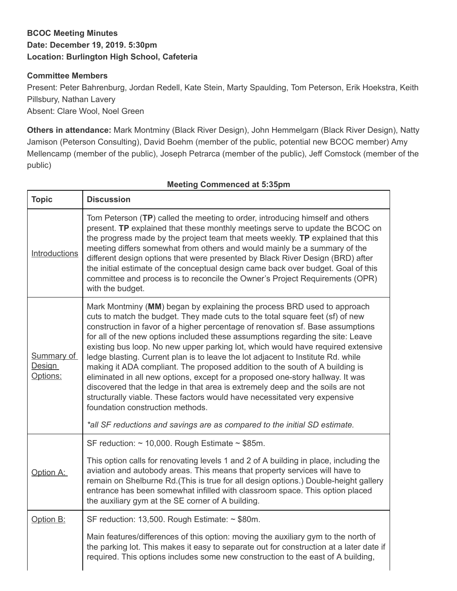## **BCOC Meeting Minutes Date: December 19, 2019. 5:30pm Location: Burlington High School, Cafeteria**

## **Committee Members**

Present: Peter Bahrenburg, Jordan Redell, Kate Stein, Marty Spaulding, Tom Peterson, Erik Hoekstra, Keith Pillsbury, Nathan Lavery Absent: Clare Wool, Noel Green

**Others in attendance:** Mark Montminy (Black River Design), John Hemmelgarn (Black River Design), Natty Jamison (Peterson Consulting), David Boehm (member of the public, potential new BCOC member) Amy Mellencamp (member of the public), Joseph Petrarca (member of the public), Jeff Comstock (member of the public)

| <b>Topic</b>                            | <b>Discussion</b>                                                                                                                                                                                                                                                                                                                                                                                                                                                                                                                                                                                                                                                                                                                                                                                                                                                           |
|-----------------------------------------|-----------------------------------------------------------------------------------------------------------------------------------------------------------------------------------------------------------------------------------------------------------------------------------------------------------------------------------------------------------------------------------------------------------------------------------------------------------------------------------------------------------------------------------------------------------------------------------------------------------------------------------------------------------------------------------------------------------------------------------------------------------------------------------------------------------------------------------------------------------------------------|
| Introductions                           | Tom Peterson (TP) called the meeting to order, introducing himself and others<br>present. TP explained that these monthly meetings serve to update the BCOC on<br>the progress made by the project team that meets weekly. TP explained that this<br>meeting differs somewhat from others and would mainly be a summary of the<br>different design options that were presented by Black River Design (BRD) after<br>the initial estimate of the conceptual design came back over budget. Goal of this<br>committee and process is to reconcile the Owner's Project Requirements (OPR)<br>with the budget.                                                                                                                                                                                                                                                                   |
| Summary of<br><b>Design</b><br>Options: | Mark Montminy (MM) began by explaining the process BRD used to approach<br>cuts to match the budget. They made cuts to the total square feet (sf) of new<br>construction in favor of a higher percentage of renovation sf. Base assumptions<br>for all of the new options included these assumptions regarding the site: Leave<br>existing bus loop. No new upper parking lot, which would have required extensive<br>ledge blasting. Current plan is to leave the lot adjacent to Institute Rd. while<br>making it ADA compliant. The proposed addition to the south of A building is<br>eliminated in all new options, except for a proposed one-story hallway. It was<br>discovered that the ledge in that area is extremely deep and the soils are not<br>structurally viable. These factors would have necessitated very expensive<br>foundation construction methods. |
|                                         | *all SF reductions and savings are as compared to the initial SD estimate.                                                                                                                                                                                                                                                                                                                                                                                                                                                                                                                                                                                                                                                                                                                                                                                                  |
| Option A:                               | SF reduction: $\sim$ 10,000. Rough Estimate $\sim$ \$85m.<br>This option calls for renovating levels 1 and 2 of A building in place, including the<br>aviation and autobody areas. This means that property services will have to<br>remain on Shelburne Rd. (This is true for all design options.) Double-height gallery<br>entrance has been somewhat infilled with classroom space. This option placed<br>the auxiliary gym at the SE corner of A building.                                                                                                                                                                                                                                                                                                                                                                                                              |
| Option B:                               | SF reduction: 13,500. Rough Estimate: ~ \$80m.                                                                                                                                                                                                                                                                                                                                                                                                                                                                                                                                                                                                                                                                                                                                                                                                                              |
|                                         | Main features/differences of this option: moving the auxiliary gym to the north of<br>the parking lot. This makes it easy to separate out for construction at a later date if<br>required. This options includes some new construction to the east of A building,                                                                                                                                                                                                                                                                                                                                                                                                                                                                                                                                                                                                           |

## **Meeting Commenced at 5:35pm**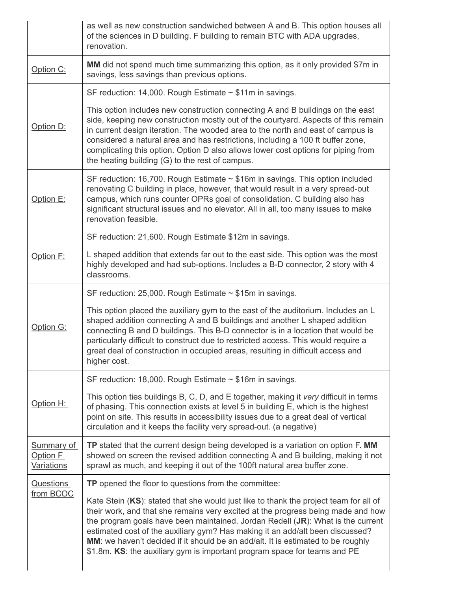|                                             | as well as new construction sandwiched between A and B. This option houses all<br>of the sciences in D building. F building to remain BTC with ADA upgrades,<br>renovation.                                                                                                                                                                                                                                                                                                                                       |
|---------------------------------------------|-------------------------------------------------------------------------------------------------------------------------------------------------------------------------------------------------------------------------------------------------------------------------------------------------------------------------------------------------------------------------------------------------------------------------------------------------------------------------------------------------------------------|
| Option C:                                   | MM did not spend much time summarizing this option, as it only provided \$7m in<br>savings, less savings than previous options.                                                                                                                                                                                                                                                                                                                                                                                   |
| Option D:                                   | SF reduction: 14,000. Rough Estimate $\sim$ \$11m in savings.                                                                                                                                                                                                                                                                                                                                                                                                                                                     |
|                                             | This option includes new construction connecting A and B buildings on the east<br>side, keeping new construction mostly out of the courtyard. Aspects of this remain<br>in current design iteration. The wooded area to the north and east of campus is<br>considered a natural area and has restrictions, including a 100 ft buffer zone,<br>complicating this option. Option D also allows lower cost options for piping from<br>the heating building (G) to the rest of campus.                                |
| Option E:                                   | SF reduction: 16,700. Rough Estimate $\sim$ \$16m in savings. This option included<br>renovating C building in place, however, that would result in a very spread-out<br>campus, which runs counter OPRs goal of consolidation. C building also has<br>significant structural issues and no elevator. All in all, too many issues to make<br>renovation feasible.                                                                                                                                                 |
|                                             | SF reduction: 21,600. Rough Estimate \$12m in savings.                                                                                                                                                                                                                                                                                                                                                                                                                                                            |
| Option F:                                   | L shaped addition that extends far out to the east side. This option was the most<br>highly developed and had sub-options. Includes a B-D connector, 2 story with 4<br>classrooms.                                                                                                                                                                                                                                                                                                                                |
|                                             | SF reduction: 25,000. Rough Estimate $\sim$ \$15m in savings.                                                                                                                                                                                                                                                                                                                                                                                                                                                     |
| Option G:                                   | This option placed the auxiliary gym to the east of the auditorium. Includes an L<br>shaped addition connecting A and B buildings and another L shaped addition<br>connecting B and D buildings. This B-D connector is in a location that would be<br>particularly difficult to construct due to restricted access. This would require a<br>great deal of construction in occupied areas, resulting in difficult access and<br>higher cost.                                                                       |
| Option H:                                   | SF reduction: 18,000. Rough Estimate $\sim$ \$16m in savings.                                                                                                                                                                                                                                                                                                                                                                                                                                                     |
|                                             | This option ties buildings B, C, D, and E together, making it very difficult in terms<br>of phasing. This connection exists at level 5 in building E, which is the highest<br>point on site. This results in accessibility issues due to a great deal of vertical<br>circulation and it keeps the facility very spread-out. (a negative)                                                                                                                                                                          |
| <b>Summary of</b><br>Option F<br>Variations | TP stated that the current design being developed is a variation on option F. MM<br>showed on screen the revised addition connecting A and B building, making it not<br>sprawl as much, and keeping it out of the 100ft natural area buffer zone.                                                                                                                                                                                                                                                                 |
| <b>Questions</b><br>from BCOC               | TP opened the floor to questions from the committee:                                                                                                                                                                                                                                                                                                                                                                                                                                                              |
|                                             | Kate Stein (KS): stated that she would just like to thank the project team for all of<br>their work, and that she remains very excited at the progress being made and how<br>the program goals have been maintained. Jordan Redell $(JR)$ : What is the current<br>estimated cost of the auxiliary gym? Has making it an add/alt been discussed?<br>MM: we haven't decided if it should be an add/alt. It is estimated to be roughly<br>\$1.8m. KS: the auxiliary gym is important program space for teams and PE |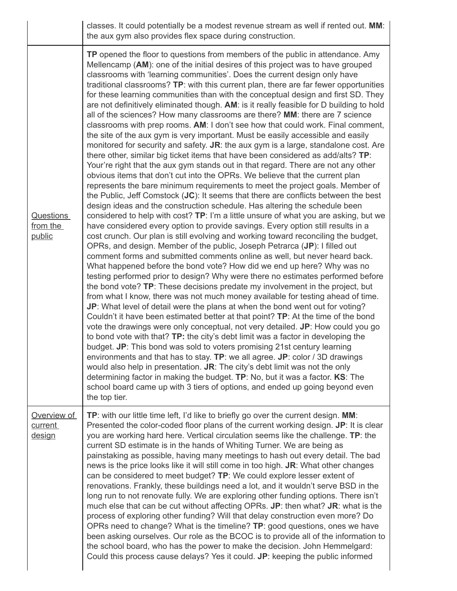|                                        | classes. It could potentially be a modest revenue stream as well if rented out. MM:<br>the aux gym also provides flex space during construction.                                                                                                                                                                                                                                                                                                                                                                                                                                                                                                                                                                                                                                                                                                                                                                                                                                                                                                                                                                                                                                                                                                                                                                                                                                                                                                                                                                                                                                                                                                                                                                                                                                                                                                                                                                                                                                                                                                                                                                                                                                                                                                                                                                                                                                                                                                                                                                                                                                                                                                                                                                                                                                                                                                                                                                               |
|----------------------------------------|--------------------------------------------------------------------------------------------------------------------------------------------------------------------------------------------------------------------------------------------------------------------------------------------------------------------------------------------------------------------------------------------------------------------------------------------------------------------------------------------------------------------------------------------------------------------------------------------------------------------------------------------------------------------------------------------------------------------------------------------------------------------------------------------------------------------------------------------------------------------------------------------------------------------------------------------------------------------------------------------------------------------------------------------------------------------------------------------------------------------------------------------------------------------------------------------------------------------------------------------------------------------------------------------------------------------------------------------------------------------------------------------------------------------------------------------------------------------------------------------------------------------------------------------------------------------------------------------------------------------------------------------------------------------------------------------------------------------------------------------------------------------------------------------------------------------------------------------------------------------------------------------------------------------------------------------------------------------------------------------------------------------------------------------------------------------------------------------------------------------------------------------------------------------------------------------------------------------------------------------------------------------------------------------------------------------------------------------------------------------------------------------------------------------------------------------------------------------------------------------------------------------------------------------------------------------------------------------------------------------------------------------------------------------------------------------------------------------------------------------------------------------------------------------------------------------------------------------------------------------------------------------------------------------------------|
| <b>Questions</b><br>from the<br>public | TP opened the floor to questions from members of the public in attendance. Amy<br>Mellencamp (AM): one of the initial desires of this project was to have grouped<br>classrooms with 'learning communities'. Does the current design only have<br>traditional classrooms? TP: with this current plan, there are far fewer opportunities<br>for these learning communities than with the conceptual design and first SD. They<br>are not definitively eliminated though. AM: is it really feasible for D building to hold<br>all of the sciences? How many classrooms are there? MM: there are 7 science<br>classrooms with prep rooms. AM: I don't see how that could work. Final comment,<br>the site of the aux gym is very important. Must be easily accessible and easily<br>monitored for security and safety. JR: the aux gym is a large, standalone cost. Are<br>there other, similar big ticket items that have been considered as add/alts? TP:<br>Your're right that the aux gym stands out in that regard. There are not any other<br>obvious items that don't cut into the OPRs. We believe that the current plan<br>represents the bare minimum requirements to meet the project goals. Member of<br>the Public, Jeff Comstock $(JC)$ : It seems that there are conflicts between the best<br>design ideas and the construction schedule. Has altering the schedule been<br>considered to help with cost? TP: I'm a little unsure of what you are asking, but we<br>have considered every option to provide savings. Every option still results in a<br>cost crunch. Our plan is still evolving and working toward reconciling the budget,<br>OPRs, and design. Member of the public, Joseph Petrarca (JP): I filled out<br>comment forms and submitted comments online as well, but never heard back.<br>What happened before the bond vote? How did we end up here? Why was no<br>testing performed prior to design? Why were there no estimates performed before<br>the bond vote? TP: These decisions predate my involvement in the project, but<br>from what I know, there was not much money available for testing ahead of time.<br>JP: What level of detail were the plans at when the bond went out for voting?<br>Couldn't it have been estimated better at that point? TP: At the time of the bond<br>vote the drawings were only conceptual, not very detailed. JP: How could you go<br>to bond vote with that? TP: the city's debt limit was a factor in developing the<br>budget. JP: This bond was sold to voters promising 21st century learning<br>environments and that has to stay. TP: we all agree. JP: color / 3D drawings<br>would also help in presentation. JR: The city's debt limit was not the only<br>determining factor in making the budget. TP: No, but it was a factor. KS: The<br>school board came up with 3 tiers of options, and ended up going beyond even<br>the top tier. |
| Overview of<br>current<br>design       | TP: with our little time left, I'd like to briefly go over the current design. MM:<br>Presented the color-coded floor plans of the current working design. JP: It is clear<br>you are working hard here. Vertical circulation seems like the challenge. TP: the<br>current SD estimate is in the hands of Whiting Turner. We are being as<br>painstaking as possible, having many meetings to hash out every detail. The bad<br>news is the price looks like it will still come in too high. JR: What other changes<br>can be considered to meet budget? TP: We could explore lesser extent of<br>renovations. Frankly, these buildings need a lot, and it wouldn't serve BSD in the<br>long run to not renovate fully. We are exploring other funding options. There isn't<br>much else that can be cut without affecting OPRs. JP: then what? JR: what is the<br>process of exploring other funding? Will that delay construction even more? Do<br>OPRs need to change? What is the timeline? TP: good questions, ones we have<br>been asking ourselves. Our role as the BCOC is to provide all of the information to<br>the school board, who has the power to make the decision. John Hemmelgard:<br>Could this process cause delays? Yes it could. JP: keeping the public informed                                                                                                                                                                                                                                                                                                                                                                                                                                                                                                                                                                                                                                                                                                                                                                                                                                                                                                                                                                                                                                                                                                                                                                                                                                                                                                                                                                                                                                                                                                                                                                                                                                        |